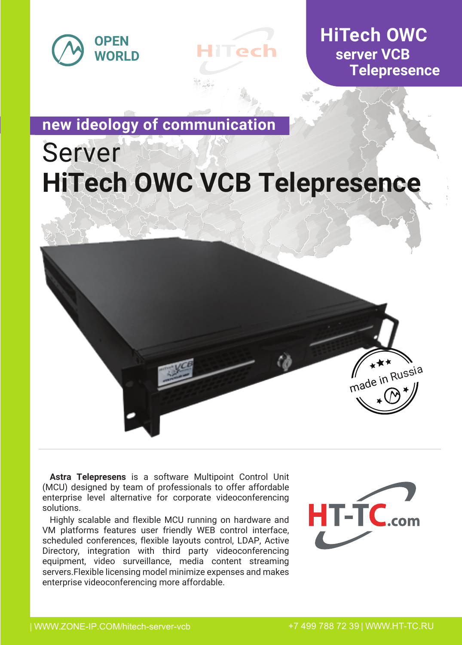



**HiTech OWC server VCB Telepresence**

# **new ideology of communication**

# Server **HiTech OWC VCB Telepresence**



**Astra Telepresens** is a software Multipoint Control Unit (MCU) designed by team of professionals to offer affordable enterprise level alternative for corporate videoconferencing solutions.

Highly scalable and flexible MCU running on hardware and VM platforms features user friendly WEB control interface, scheduled conferences, flexible layouts control, LDAP, Active Directory, integration with third party videoconferencing equipment, video surveillance, media content streaming servers.Flexible licensing model minimize expenses and makes enterprise videoconferencing more affordable.